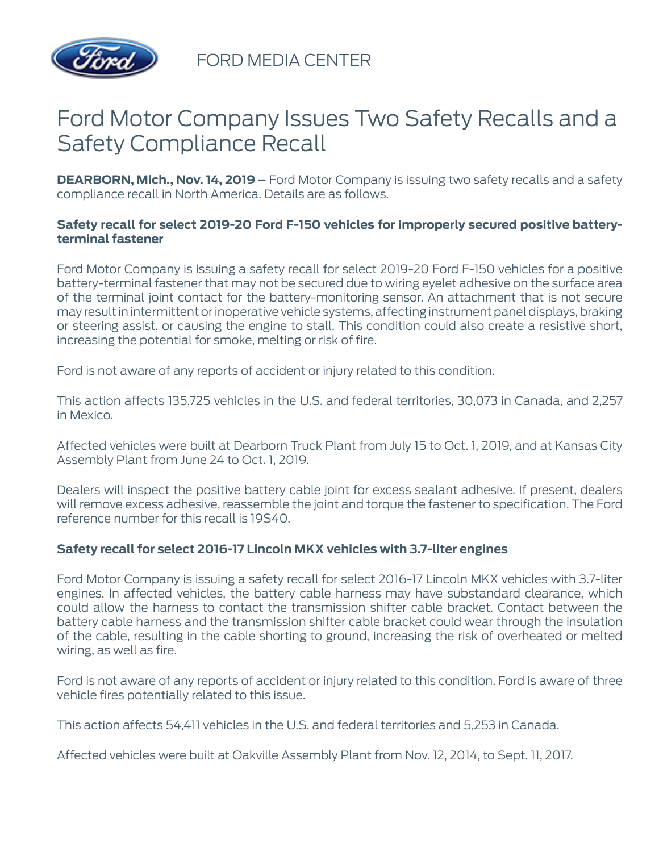

FORD MEDIA CENTER

# Ford Motor Company Issues Two Safety Recalls and a Safety Compliance Recall

**DEARBORN, Mich., Nov. 14, 2019** – Ford Motor Company is issuing two safety recalls and a safety compliance recall in North America. Details are as follows.

## **Safety recall for select 2019-20 Ford F-150 vehicles for improperly secured positive batteryterminal fastener**

Ford Motor Company is issuing a safety recall for select 2019-20 Ford F-150 vehicles for a positive battery-terminal fastener that may not be secured due to wiring eyelet adhesive on the surface area of the terminal joint contact for the battery-monitoring sensor. An attachment that is not secure may result in intermittent or inoperative vehicle systems, affecting instrument panel displays, braking or steering assist, or causing the engine to stall. This condition could also create a resistive short, increasing the potential for smoke, melting or risk of fire.

Ford is not aware of any reports of accident or injury related to this condition.

This action affects 135,725 vehicles in the U.S. and federal territories, 30,073 in Canada, and 2,257 in Mexico.

Affected vehicles were built at Dearborn Truck Plant from July 15 to Oct. 1, 2019, and at Kansas City Assembly Plant from June 24 to Oct. 1, 2019.

Dealers will inspect the positive battery cable joint for excess sealant adhesive. If present, dealers will remove excess adhesive, reassemble the joint and torque the fastener to specification. The Ford reference number for this recall is 19S40.

### **Safety recall for select 2016-17 Lincoln MKX vehicles with 3.7-liter engines**

Ford Motor Company is issuing a safety recall for select 2016-17 Lincoln MKX vehicles with 3.7-liter engines. In affected vehicles, the battery cable harness may have substandard clearance, which could allow the harness to contact the transmission shifter cable bracket. Contact between the battery cable harness and the transmission shifter cable bracket could wear through the insulation of the cable, resulting in the cable shorting to ground, increasing the risk of overheated or melted wiring, as well as fire.

Ford is not aware of any reports of accident or injury related to this condition. Ford is aware of three vehicle fires potentially related to this issue.

This action affects 54,411 vehicles in the U.S. and federal territories and 5,253 in Canada.

Affected vehicles were built at Oakville Assembly Plant from Nov. 12, 2014, to Sept. 11, 2017.